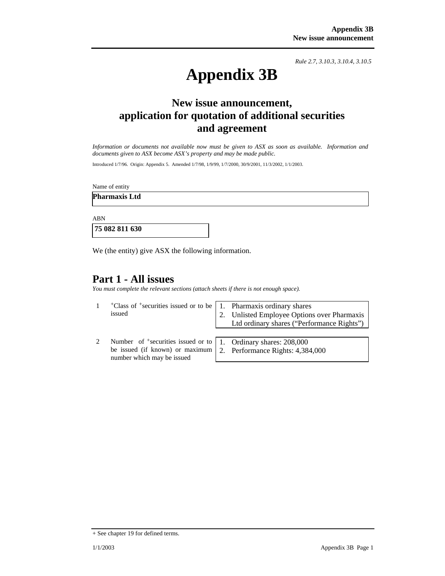*Rule 2.7, 3.10.3, 3.10.4, 3.10.5*

# **Appendix 3B**

## **New issue announcement, application for quotation of additional securities and agreement**

*Information or documents not available now must be given to ASX as soon as available. Information and documents given to ASX become ASX's property and may be made public.* 

Introduced 1/7/96. Origin: Appendix 5. Amended 1/7/98, 1/9/99, 1/7/2000, 30/9/2001, 11/3/2002, 1/1/2003.

Name of entity

**Pharmaxis Ltd** 

ABN

 **75 082 811 630** 

We (the entity) give ASX the following information.

## **Part 1 - All issues**

*You must complete the relevant sections (attach sheets if there is not enough space).*

| $\pm$ Class of $\pm$ securities issued or to be   1. Pharmaxis ordinary shares<br>issued                                               |    | 2. Unlisted Employee Options over Pharmaxis<br>Ltd ordinary shares ("Performance Rights") |
|----------------------------------------------------------------------------------------------------------------------------------------|----|-------------------------------------------------------------------------------------------|
| Number of $\pm$ securities issued or to   1. Ordinary shares: 208,000<br>be issued (if known) or maximum<br>number which may be issued | 2. | Performance Rights: 4,384,000                                                             |

<sup>+</sup> See chapter 19 for defined terms.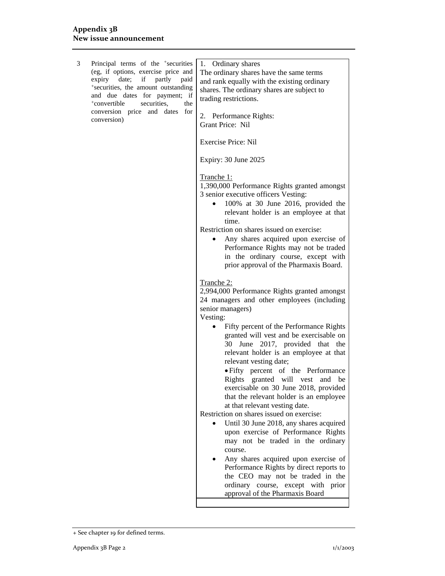| 3 | Principal terms of the <sup>+</sup> securities<br>(eg, if options, exercise price and<br>date;<br>if<br>partly<br>expiry<br>paid<br>*securities, the amount outstanding<br>and due dates for payment; if<br><sup>+</sup> convertible<br>securities.<br>the<br>conversion price and dates for<br>conversion) | 1. Ordinary shares<br>The ordinary shares have the same terms<br>and rank equally with the existing ordinary<br>shares. The ordinary shares are subject to<br>trading restrictions.<br>2. Performance Rights:<br>Grant Price: Nil                                                                                                                                                                                                                                                                                                                                                                                                                                                                                                                                       |
|---|-------------------------------------------------------------------------------------------------------------------------------------------------------------------------------------------------------------------------------------------------------------------------------------------------------------|-------------------------------------------------------------------------------------------------------------------------------------------------------------------------------------------------------------------------------------------------------------------------------------------------------------------------------------------------------------------------------------------------------------------------------------------------------------------------------------------------------------------------------------------------------------------------------------------------------------------------------------------------------------------------------------------------------------------------------------------------------------------------|
|   |                                                                                                                                                                                                                                                                                                             | <b>Exercise Price: Nil</b>                                                                                                                                                                                                                                                                                                                                                                                                                                                                                                                                                                                                                                                                                                                                              |
|   |                                                                                                                                                                                                                                                                                                             | Expiry: 30 June 2025                                                                                                                                                                                                                                                                                                                                                                                                                                                                                                                                                                                                                                                                                                                                                    |
|   |                                                                                                                                                                                                                                                                                                             | Tranche <sub>1</sub> :<br>1,390,000 Performance Rights granted amongst<br>3 senior executive officers Vesting:<br>100% at 30 June 2016, provided the<br>relevant holder is an employee at that<br>time.<br>Restriction on shares issued on exercise:<br>Any shares acquired upon exercise of<br>Performance Rights may not be traded<br>in the ordinary course, except with<br>prior approval of the Pharmaxis Board.                                                                                                                                                                                                                                                                                                                                                   |
|   |                                                                                                                                                                                                                                                                                                             | Tranche 2:<br>2,994,000 Performance Rights granted amongst<br>24 managers and other employees (including<br>senior managers)<br>Vesting:                                                                                                                                                                                                                                                                                                                                                                                                                                                                                                                                                                                                                                |
|   |                                                                                                                                                                                                                                                                                                             | Fifty percent of the Performance Rights<br>granted will vest and be exercisable on<br>30 June 2017, provided that the<br>relevant holder is an employee at that<br>relevant vesting date;<br>• Fifty percent of the Performance<br>Rights granted will vest and be<br>exercisable on 30 June 2018, provided<br>that the relevant holder is an employee<br>at that relevant vesting date.<br>Restriction on shares issued on exercise:<br>Until 30 June 2018, any shares acquired<br>upon exercise of Performance Rights<br>may not be traded in the ordinary<br>course.<br>Any shares acquired upon exercise of<br>Performance Rights by direct reports to<br>the CEO may not be traded in the<br>ordinary course, except with prior<br>approval of the Pharmaxis Board |

<sup>+</sup> See chapter 19 for defined terms.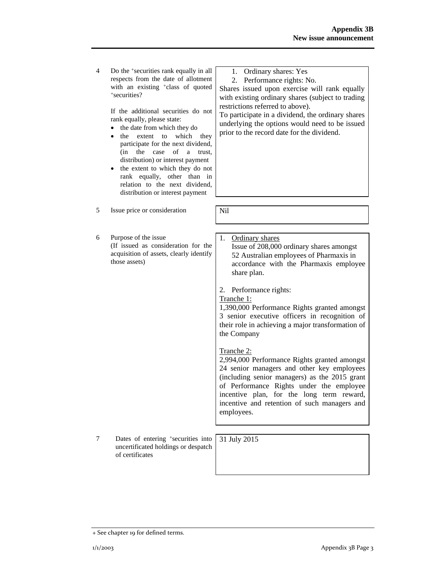4 Do the +securities rank equally in all respects from the date of allotment with an existing <sup>+</sup>class of quoted +securities?

> If the additional securities do not rank equally, please state:

- the date from which they do
- the extent to which they participate for the next dividend, (in the case of a trust, distribution) or interest payment
- the extent to which they do not rank equally, other than in relation to the next dividend, distribution or interest payment
- 5 Issue price or consideration | Nil
- 6 Purpose of the issue (If issued as consideration for the acquisition of assets, clearly identify those assets)
- 1. Ordinary shares: Yes
- 2. Performance rights: No.

Shares issued upon exercise will rank equally with existing ordinary shares (subject to trading restrictions referred to above).

To participate in a dividend, the ordinary shares underlying the options would need to be issued prior to the record date for the dividend.

- 
- 1. Ordinary shares Issue of 208,000 ordinary shares amongst 52 Australian employees of Pharmaxis in accordance with the Pharmaxis employee share plan.
- 2. Performance rights:
- Tranche 1:

1,390,000 Performance Rights granted amongst 3 senior executive officers in recognition of their role in achieving a major transformation of the Company

Tranche 2:

2,994,000 Performance Rights granted amongst 24 senior managers and other key employees (including senior managers) as the 2015 grant of Performance Rights under the employee incentive plan, for the long term reward, incentive and retention of such managers and employees.

7 Dates of entering +securities into uncertificated holdings or despatch of certificates

31 July 2015

<sup>+</sup> See chapter 19 for defined terms.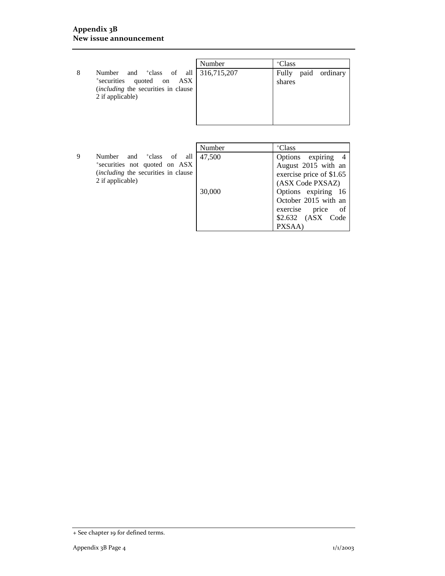#### **Appendix 3B New issue announcement**

|                                                                                                                                 |                                               | Number | +Class                           |  |
|---------------------------------------------------------------------------------------------------------------------------------|-----------------------------------------------|--------|----------------------------------|--|
| Number and <sup>+</sup> class of all 316,715,207<br>8<br>*securities<br>(including the securities in clause<br>2 if applicable) | quoted on<br>$\mathbf{A}\mathbf{S}\mathbf{X}$ |        | paid ordinary<br>Fully<br>shares |  |

|   |                                         | Number | <sup>+</sup> Class       |
|---|-----------------------------------------|--------|--------------------------|
| q | and <sup>+</sup> class of all<br>Number | 47,500 | Options expiring 4       |
|   | *securities not quoted on ASX           |        | August 2015 with an      |
|   | (including the securities in clause     |        | exercise price of \$1.65 |
|   | 2 if applicable)                        |        | (ASX Code PXSAZ)         |
|   |                                         | 30,000 | Options expiring 16      |
|   |                                         |        | October 2015 with an     |
|   |                                         |        | price<br>exercise<br>of  |
|   |                                         |        | \$2.632 (ASX Code        |
|   |                                         |        | PXSAA)                   |

<sup>+</sup> See chapter 19 for defined terms.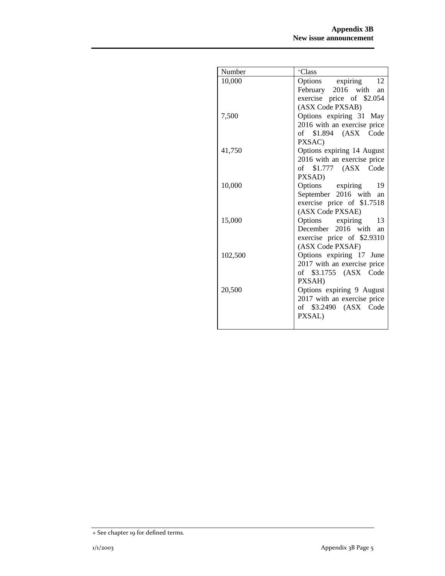| Number  | +Class                          |
|---------|---------------------------------|
| 10,000  | Options expiring<br>12          |
|         | February 2016 with an           |
|         | exercise price of \$2.054       |
|         | (ASX Code PXSAB)                |
| 7,500   | Options expiring 31 May         |
|         | 2016 with an exercise price     |
|         | of \$1.894 (ASX Code            |
|         | PXSAC)                          |
| 41,750  | Options expiring 14 August      |
|         | 2016 with an exercise price     |
|         | of \$1.777 (ASX Code            |
|         | PXSAD)                          |
| 10,000  | Options expiring<br>19          |
|         | September 2016 with an          |
|         | exercise price of \$1.7518      |
|         | (ASX Code PXSAE)                |
| 15,000  | Options expiring<br>13          |
|         | December 2016 with<br>an        |
|         | exercise price of \$2.9310      |
|         | (ASX Code PXSAF)                |
| 102,500 | Options expiring 17 June        |
|         | 2017 with an exercise price     |
|         | of \$3.1755 (ASX Code           |
|         | PXSAH)                          |
| 20,500  | Options expiring 9 August       |
|         | 2017 with an exercise price     |
|         | of \$3.2490 (ASX Code<br>PXSAL) |
|         |                                 |
|         |                                 |

<sup>+</sup> See chapter 19 for defined terms.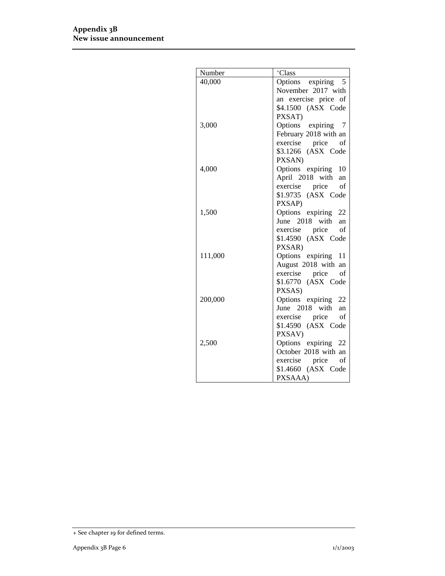| Number  | +Class                                     |
|---------|--------------------------------------------|
| 40,000  | Options expiring 5                         |
|         | November 2017 with                         |
|         | an exercise price of                       |
|         | \$4.1500 (ASX Code                         |
|         | PXSAT)                                     |
| 3,000   | Options expiring 7                         |
|         | February 2018 with an                      |
|         | exercise price<br>of                       |
|         | \$3.1266 (ASX Code                         |
|         | PXSAN)                                     |
| 4,000   | Options expiring<br>-10                    |
|         | April 2018 with an                         |
|         | exercise price<br>of                       |
|         | \$1.9735 (ASX Code                         |
|         | PXSAP)                                     |
| 1,500   | Options expiring 22                        |
|         | June 2018 with an                          |
|         | exercise price<br>of<br>\$1.4590 (ASX Code |
|         | PXSAR)                                     |
| 111,000 | Options expiring 11                        |
|         | August 2018 with an                        |
|         | exercise price<br>of                       |
|         | \$1.6770 (ASX Code                         |
|         | PXSAS)                                     |
| 200,000 | Options expiring 22                        |
|         | June 2018 with<br>an                       |
|         | of<br>exercise price                       |
|         | \$1.4590 (ASX Code                         |
|         | PXSAV)                                     |
| 2,500   | Options expiring 22                        |
|         | October 2018 with an                       |
|         | exercise price<br>of                       |
|         | \$1.4660 (ASX Code                         |
|         | PXSAAA)                                    |

<sup>+</sup> See chapter 19 for defined terms.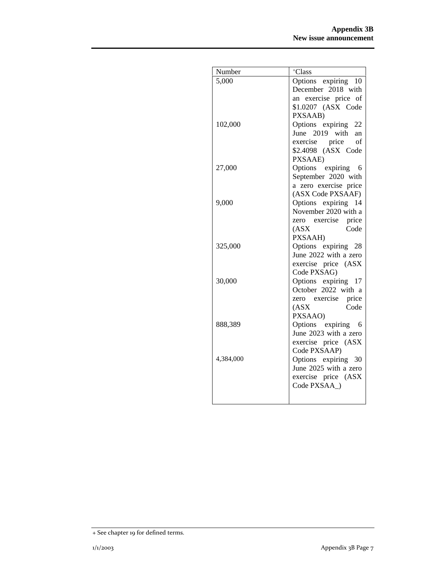| Number    | +Class                                     |
|-----------|--------------------------------------------|
| 5,000     | Options expiring 10                        |
|           | December 2018 with                         |
|           | an exercise price of                       |
|           | \$1.0207 (ASX Code                         |
|           | PXSAAB)                                    |
| 102,000   | Options expiring 22                        |
|           | June 2019 with an                          |
|           | exercise price of                          |
|           | \$2.4098 (ASX Code                         |
|           | PXSAAE)                                    |
| 27,000    | Options expiring 6                         |
|           | September 2020 with                        |
|           | a zero exercise price<br>(ASX Code PXSAAF) |
| 9,000     | Options expiring<br>14                     |
|           | November 2020 with a                       |
|           | zero exercise price                        |
|           | Code<br>(ASX)                              |
|           | PXSAAH)                                    |
| 325,000   | Options expiring 28                        |
|           | June 2022 with a zero                      |
|           | exercise price (ASX                        |
|           | Code PXSAG)                                |
| 30,000    | Options expiring 17                        |
|           | October 2022 with a                        |
|           | zero exercise price                        |
|           | Code<br>(ASX)                              |
|           | PXSAAO)                                    |
| 888,389   | Options expiring 6                         |
|           | June 2023 with a zero                      |
|           | exercise price (ASX                        |
| 4,384,000 | Code PXSAAP)<br>Options expiring 30        |
|           | June 2025 with a zero                      |
|           | exercise price (ASX                        |
|           | Code PXSAA )                               |
|           |                                            |
|           |                                            |

<sup>+</sup> See chapter 19 for defined terms.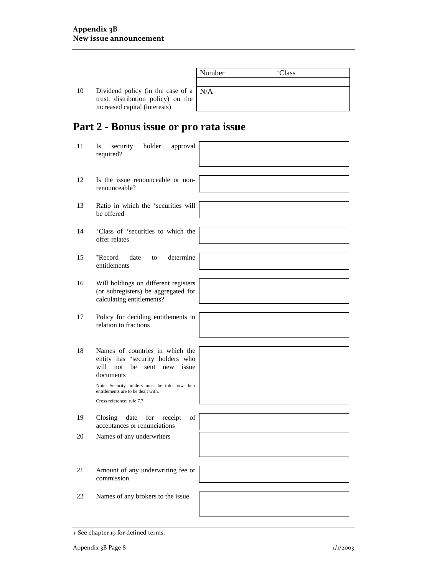|    |                                                                               | Number | <sup>+</sup> Class |
|----|-------------------------------------------------------------------------------|--------|--------------------|
|    |                                                                               |        |                    |
| 10 | Dividend policy (in the case of a $N/A$<br>trust, distribution policy) on the |        |                    |
|    | increased capital (interests)                                                 |        |                    |

# **Part 2 - Bonus issue or pro rata issue**

| 11 | security<br>approval<br>Is<br>holder<br>required?                                                                                                                                                                                               |  |
|----|-------------------------------------------------------------------------------------------------------------------------------------------------------------------------------------------------------------------------------------------------|--|
| 12 | Is the issue renounceable or non-<br>renounceable?                                                                                                                                                                                              |  |
| 13 | Ratio in which the <sup>+</sup> securities will<br>be offered                                                                                                                                                                                   |  |
| 14 | <sup>+</sup> Class of <sup>+</sup> securities to which the<br>offer relates                                                                                                                                                                     |  |
| 15 | <sup>+</sup> Record<br>determine<br>date<br>to<br>entitlements                                                                                                                                                                                  |  |
| 16 | Will holdings on different registers<br>(or subregisters) be aggregated for<br>calculating entitlements?                                                                                                                                        |  |
| 17 | Policy for deciding entitlements in<br>relation to fractions                                                                                                                                                                                    |  |
| 18 | Names of countries in which the<br>entity has +security holders who<br>will not<br>be<br>sent<br>new<br>issue<br>documents<br>Note: Security holders must be told how their<br>entitlements are to be dealt with.<br>Cross reference: rule 7.7. |  |
| 19 | Closing<br>date<br>for<br>receipt<br>of<br>acceptances or renunciations                                                                                                                                                                         |  |
| 20 | Names of any underwriters                                                                                                                                                                                                                       |  |
| 21 | Amount of any underwriting fee or<br>commission                                                                                                                                                                                                 |  |
| 22 | Names of any brokers to the issue                                                                                                                                                                                                               |  |

<sup>+</sup> See chapter 19 for defined terms.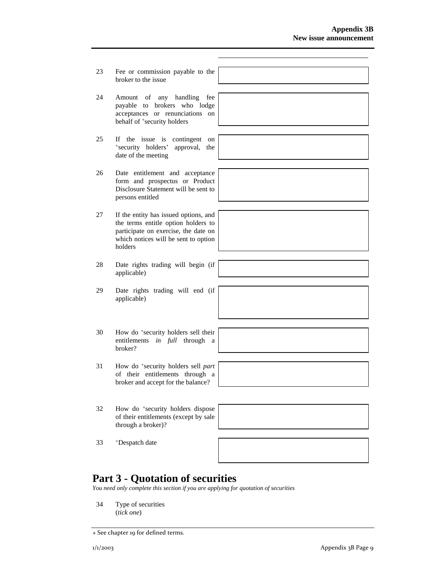- 23 Fee or commission payable to the broker to the issue
- 24 Amount of any handling fee payable to brokers who lodge acceptances or renunciations on behalf of <sup>+</sup>security holders
- 25 If the issue is contingent on +security holders' approval, the date of the meeting
- 26 Date entitlement and acceptance form and prospectus or Product Disclosure Statement will be sent to persons entitled
- 27 If the entity has issued options, and the terms entitle option holders to participate on exercise, the date on which notices will be sent to option holders
- 28 Date rights trading will begin (if applicable)
- 29 Date rights trading will end (if applicable)
- 30 How do +security holders sell their entitlements *in full* through a broker?
- 31 How do +security holders sell *part* of their entitlements through a broker and accept for the balance?
- 32 How do +security holders dispose of their entitlements (except by sale through a broker)?

| and the control of the control of the control of the control of the control of the control of the control of the |  |  |
|------------------------------------------------------------------------------------------------------------------|--|--|
|                                                                                                                  |  |  |
|                                                                                                                  |  |  |
|                                                                                                                  |  |  |
|                                                                                                                  |  |  |
|                                                                                                                  |  |  |
|                                                                                                                  |  |  |

33 +Despatch date



## **Part 3 - Quotation of securities**

*You need only complete this section if you are applying for quotation of securities* 

34 Type of securities (*tick one*)



<sup>+</sup> See chapter 19 for defined terms.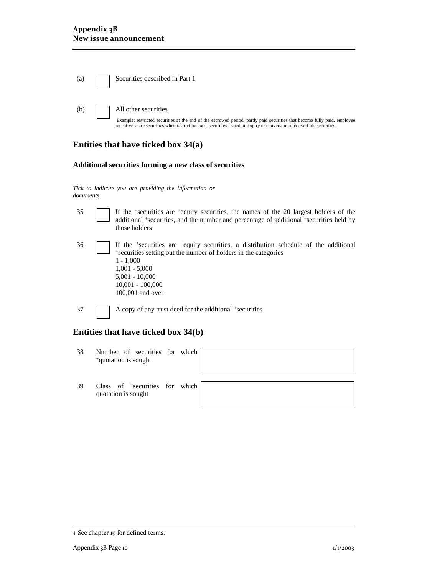| $\left( \text{a}\right)$ | Securities described in Part 1                                                                                                                                                                                                                                             |
|--------------------------|----------------------------------------------------------------------------------------------------------------------------------------------------------------------------------------------------------------------------------------------------------------------------|
| (b)                      | All other securities<br>Example: restricted securities at the end of the escrowed period, partly paid securities that become fully paid, employee<br>incentive share securities when restriction ends, securities issued on expiry or conversion of convertible securities |

### **Entities that have ticked box 34(a)**

#### **Additional securities forming a new class of securities**

*Tick to indicate you are providing the information or documents*

| 35 | If the <sup>+</sup> securities are <sup>+</sup> equity securities, the names of the 20 largest holders of the<br>additional *securities, and the number and percentage of additional *securities held by<br>those holders                              |
|----|--------------------------------------------------------------------------------------------------------------------------------------------------------------------------------------------------------------------------------------------------------|
| 36 | If the *securities are *equity securities, a distribution schedule of the additional *securities setting out the number of holders in the categories<br>$1 - 1,000$<br>$1,001 - 5,000$<br>$5,001 - 10,000$<br>$10,001 - 100,000$<br>$100,001$ and over |

#### **Entities that have ticked box 34(b)**

37 A copy of any trust deed for the additional +securities

- 38 Number of securities for which +quotation is sought
- 39 Class of +securities for which quotation is sought



<sup>+</sup> See chapter 19 for defined terms.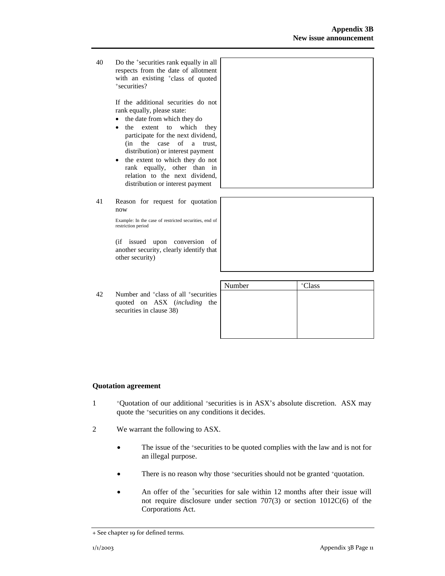40 Do the +securities rank equally in all respects from the date of allotment with an existing <sup>+</sup>class of quoted +securities?

> If the additional securities do not rank equally, please state:

- the date from which they do
- the extent to which they participate for the next dividend, (in the case of a trust, distribution) or interest payment
- the extent to which they do not rank equally, other than in relation to the next dividend, distribution or interest payment
- 41 Reason for request for quotation now

Example: In the case of restricted securities, end of restriction period

(if issued upon conversion of another security, clearly identify that other security)

|    |                                                                                                                          | Number | <sup>+</sup> Class |
|----|--------------------------------------------------------------------------------------------------------------------------|--------|--------------------|
| 42 | Number and <sup>+</sup> class of all <sup>+</sup> securities<br>quoted on ASX (including the<br>securities in clause 38) |        |                    |

#### **Quotation agreement**

- 1 +Quotation of our additional +securities is in ASX's absolute discretion. ASX may quote the +securities on any conditions it decides.
- 2 We warrant the following to ASX.
	- The issue of the *\*securities* to be quoted complies with the law and is not for an illegal purpose.
	- There is no reason why those +securities should not be granted +quotation.
	- An offer of the <sup>+</sup>securities for sale within 12 months after their issue will not require disclosure under section 707(3) or section 1012C(6) of the Corporations Act.

<sup>+</sup> See chapter 19 for defined terms.